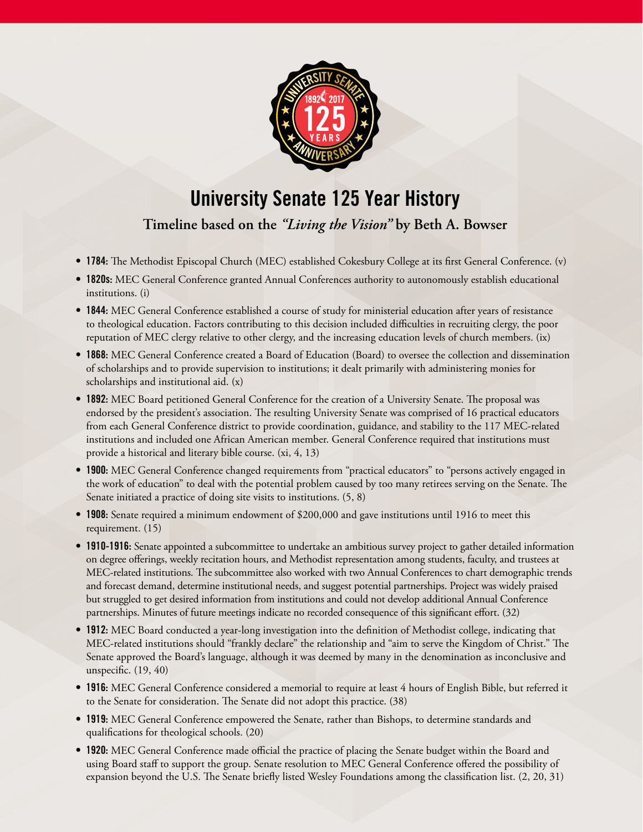

## University Senate 125 Year History

**Timeline based on the** *"Living the Vision"* **by Beth A. Bowser** 

- 1784: The Methodist Episcopal Church (MEC) established Cokesbury College at its first General Conference. (v)
- 1820s: MEC General Conference granted Annual Conferences authority to autonomously establish educational institutions. (i)
- 1844: MEC General Conference established a course of study for ministerial education after years of resistance to theological education. Factors contributing to this decision included difficulties in recruiting clergy, the poor reputation of MEC clergy relative to other clergy, and the increasing education levels of church members. (ix)
- 1868: MEC General Conference created a Board of Education (Board) to oversee the collection and dissemination of scholarships and to provide supervision to institutions; it dealt primarily with administering monies for scholarships and institutional aid. (x)
- 1892: MEC Board petitioned General Conference for the creation of a University Senate. The proposal was endorsed by the president's association. The resulting University Senate was comprised of 16 practical educators from each General Conference district to provide coordination, guidance, and stability to the 117 MEC-related institutions and included one African American member. General Conference required that institutions must provide a historical and literary bible course. (xi, 4, 13)
- 1900: MEC General Conference changed requirements from "practical educators" to "persons actively engaged in the work of education" to deal with the potential problem caused by too many retirees serving on the Senate. The Senate initiated a practice of doing site visits to institutions. (5, 8)
- 1908: Senate required a minimum endowment of \$200,000 and gave institutions until 1916 to meet this requirement. (15)
- 1910-1916: Senate appointed a subcommittee to undertake an ambitious survey project to gather detailed information on degree offerings, weekly recitation hours, and Methodist representation among students, faculty, and trustees at MEC-related institutions. The subcommittee also worked with two Annual Conferences to chart demographic trends and forecast demand, determine institutional needs, and suggest potential partnerships. Project was widely praised but struggled to get desired information from institutions and could not develop additional Annual Conference partnerships. Minutes of future meetings indicate no recorded consequence of this significant effort. (32)
- 1912: MEC Board conducted a year-long investigation into the definition of Methodist college, indicating that MEC-related institutions should "frankly declare" the relationship and "aim to serve the Kingdom of Christ." The Senate approved the Board's language, although it was deemed by many in the denomination as inconclusive and unspecific. (19, 40)
- 1916: MEC General Conference considered a memorial to require at least 4 hours of English Bible, but referred it to the Senate for consideration. The Senate did not adopt this practice. (38)
- 1919: MEC General Conference empowered the Senate, rather than Bishops, to determine standards and qualifications for theological schools. (20)
- 1920: MEC General Conference made official the practice of placing the Senate budget within the Board and using Board staff to support the group. Senate resolution to MEC General Conference offered the possibility of expansion beyond the U.S. The Senate briefly listed Wesley Foundations among the classification list. (2, 20, 31)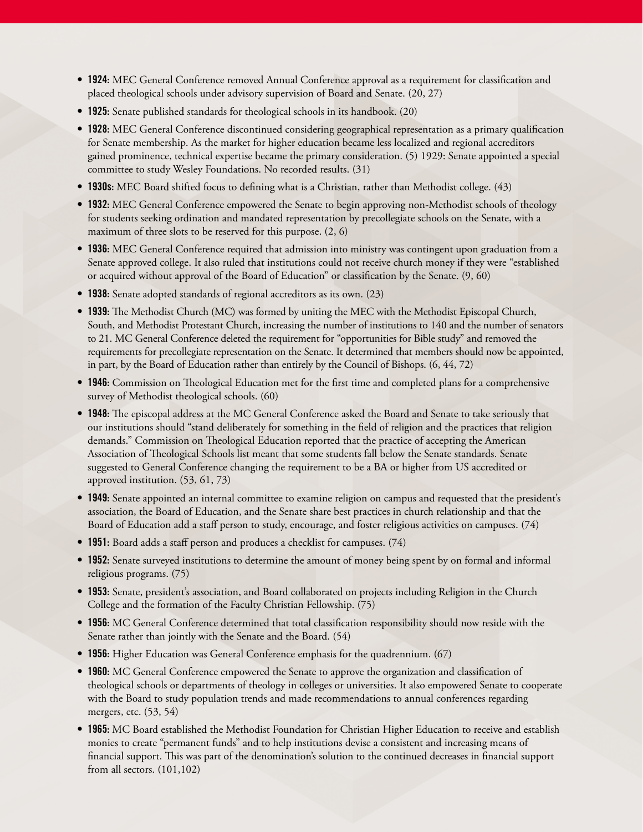- 1924: MEC General Conference removed Annual Conference approval as a requirement for classification and placed theological schools under advisory supervision of Board and Senate. (20, 27)
- 1925: Senate published standards for theological schools in its handbook. (20)
- 1928: MEC General Conference discontinued considering geographical representation as a primary qualification for Senate membership. As the market for higher education became less localized and regional accreditors gained prominence, technical expertise became the primary consideration. (5) 1929: Senate appointed a special committee to study Wesley Foundations. No recorded results. (31)
- 1930s: MEC Board shifted focus to defining what is a Christian, rather than Methodist college. (43)
- 1932: MEC General Conference empowered the Senate to begin approving non-Methodist schools of theology for students seeking ordination and mandated representation by precollegiate schools on the Senate, with a maximum of three slots to be reserved for this purpose. (2, 6)
- 1936: MEC General Conference required that admission into ministry was contingent upon graduation from a Senate approved college. It also ruled that institutions could not receive church money if they were "established or acquired without approval of the Board of Education" or classification by the Senate. (9, 60)
- 1938: Senate adopted standards of regional accreditors as its own. (23)
- 1939: The Methodist Church (MC) was formed by uniting the MEC with the Methodist Episcopal Church, South, and Methodist Protestant Church, increasing the number of institutions to 140 and the number of senators to 21. MC General Conference deleted the requirement for "opportunities for Bible study" and removed the requirements for precollegiate representation on the Senate. It determined that members should now be appointed, in part, by the Board of Education rather than entirely by the Council of Bishops. (6, 44, 72)
- 1946: Commission on Theological Education met for the first time and completed plans for a comprehensive survey of Methodist theological schools. (60)
- 1948: Te episcopal address at the MC General Conference asked the Board and Senate to take seriously that our institutions should "stand deliberately for something in the field of religion and the practices that religion demands." Commission on Theological Education reported that the practice of accepting the American Association of Theological Schools list meant that some students fall below the Senate standards. Senate suggested to General Conference changing the requirement to be a BA or higher from US accredited or approved institution. (53, 61, 73)
- 1949: Senate appointed an internal committee to examine religion on campus and requested that the president's association, the Board of Education, and the Senate share best practices in church relationship and that the Board of Education add a staff person to study, encourage, and foster religious activities on campuses. (74)
- 1951: Board adds a staff person and produces a checklist for campuses. (74)
- 1952: Senate surveyed institutions to determine the amount of money being spent by on formal and informal religious programs. (75)
- 1953: Senate, president's association, and Board collaborated on projects including Religion in the Church College and the formation of the Faculty Christian Fellowship. (75)
- 1956: MC General Conference determined that total classification responsibility should now reside with the Senate rather than jointly with the Senate and the Board. (54)
- 1956: Higher Education was General Conference emphasis for the quadrennium. (67)
- 1960: MC General Conference empowered the Senate to approve the organization and classification of theological schools or departments of theology in colleges or universities. It also empowered Senate to cooperate with the Board to study population trends and made recommendations to annual conferences regarding mergers, etc. (53, 54)
- 1965: MC Board established the Methodist Foundation for Christian Higher Education to receive and establish monies to create "permanent funds" and to help institutions devise a consistent and increasing means of financial support. This was part of the denomination's solution to the continued decreases in financial support from all sectors. (101,102)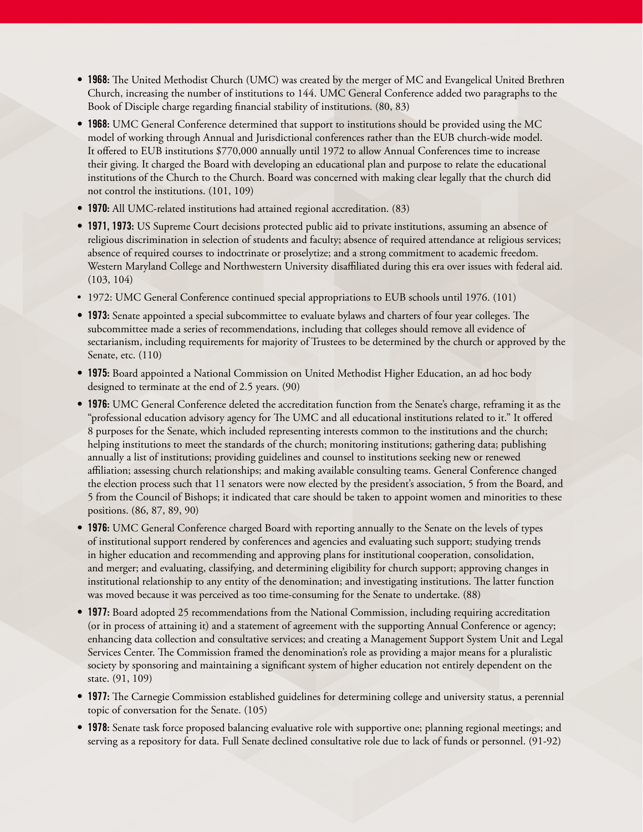- 1968: The United Methodist Church (UMC) was created by the merger of MC and Evangelical United Brethren Church, increasing the number of institutions to 144. UMC General Conference added two paragraphs to the Book of Disciple charge regarding financial stability of institutions. (80, 83)
- 1968: UMC General Conference determined that support to institutions should be provided using the MC model of working through Annual and Jurisdictional conferences rather than the EUB church-wide model. It offered to EUB institutions \$770,000 annually until 1972 to allow Annual Conferences time to increase their giving. It charged the Board with developing an educational plan and purpose to relate the educational institutions of the Church to the Church. Board was concerned with making clear legally that the church did not control the institutions. (101, 109)
- 1970: All UMC-related institutions had attained regional accreditation. (83)
- 1971, 1973: US Supreme Court decisions protected public aid to private institutions, assuming an absence of religious discrimination in selection of students and faculty; absence of required attendance at religious services; absence of required courses to indoctrinate or proselytize; and a strong commitment to academic freedom. Western Maryland College and Northwestern University disaffiliated during this era over issues with federal aid. (103, 104)
- 1972: UMC General Conference continued special appropriations to EUB schools until 1976. (101)
- 1973: Senate appointed a special subcommittee to evaluate bylaws and charters of four year colleges. The subcommittee made a series of recommendations, including that colleges should remove all evidence of sectarianism, including requirements for majority of Trustees to be determined by the church or approved by the Senate, etc. (110)
- 1975: Board appointed a National Commission on United Methodist Higher Education, an ad hoc body designed to terminate at the end of 2.5 years. (90)
- 1976: UMC General Conference deleted the accreditation function from the Senate's charge, reframing it as the "professional education advisory agency for The UMC and all educational institutions related to it." It offered 8 purposes for the Senate, which included representing interests common to the institutions and the church; helping institutions to meet the standards of the church; monitoring institutions; gathering data; publishing annually a list of institutions; providing guidelines and counsel to institutions seeking new or renewed affiliation; assessing church relationships; and making available consulting teams. General Conference changed the election process such that 11 senators were now elected by the president's association, 5 from the Board, and 5 from the Council of Bishops; it indicated that care should be taken to appoint women and minorities to these positions. (86, 87, 89, 90)
- 1976: UMC General Conference charged Board with reporting annually to the Senate on the levels of types of institutional support rendered by conferences and agencies and evaluating such support; studying trends in higher education and recommending and approving plans for institutional cooperation, consolidation, and merger; and evaluating, classifying, and determining eligibility for church support; approving changes in institutional relationship to any entity of the denomination; and investigating institutions. The latter function was moved because it was perceived as too time-consuming for the Senate to undertake. (88)
- 1977: Board adopted 25 recommendations from the National Commission, including requiring accreditation (or in process of attaining it) and a statement of agreement with the supporting Annual Conference or agency; enhancing data collection and consultative services; and creating a Management Support System Unit and Legal Services Center. The Commission framed the denomination's role as providing a major means for a pluralistic society by sponsoring and maintaining a significant system of higher education not entirely dependent on the state. (91, 109)
- 1977: The Carnegie Commission established guidelines for determining college and university status, a perennial topic of conversation for the Senate. (105)
- 1978: Senate task force proposed balancing evaluative role with supportive one; planning regional meetings; and serving as a repository for data. Full Senate declined consultative role due to lack of funds or personnel. (91-92)